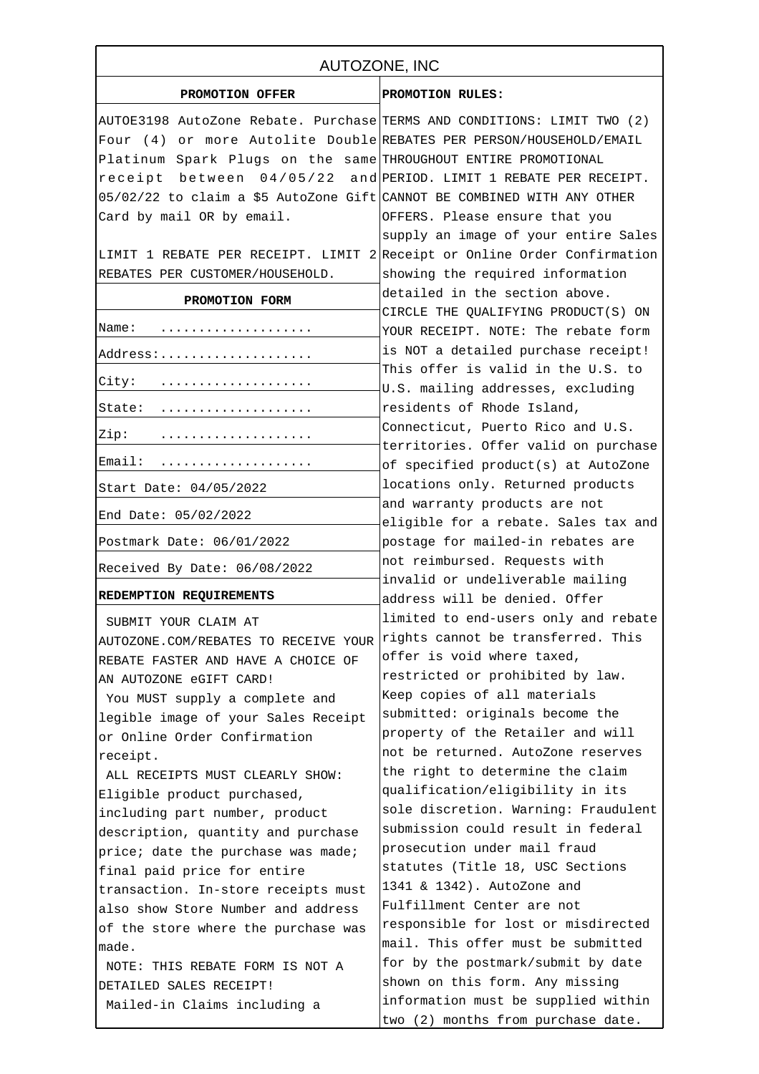| AUTOZONE, INC                                                            |                                                                           |
|--------------------------------------------------------------------------|---------------------------------------------------------------------------|
| PROMOTION OFFER                                                          | PROMOTION RULES:                                                          |
| AUTOE3198 AutoZone Rebate. Purchase TERMS AND CONDITIONS: LIMIT TWO (2)  |                                                                           |
| Four (4) or more Autolite Double REBATES PER PERSON/HOUSEHOLD/EMAIL      |                                                                           |
| Platinum Spark Plugs on the same THROUGHOUT ENTIRE PROMOTIONAL           |                                                                           |
| receipt between 04/05/22 and PERIOD. LIMIT 1 REBATE PER RECEIPT.         |                                                                           |
| 05/02/22 to claim a \$5 AutoZone Gift CANNOT BE COMBINED WITH ANY OTHER  |                                                                           |
| Card by mail OR by email.                                                | OFFERS. Please ensure that you                                            |
|                                                                          | supply an image of your entire Sales                                      |
| LIMIT 1 REBATE PER RECEIPT. LIMIT 2 Receipt or Online Order Confirmation |                                                                           |
| REBATES PER CUSTOMER/HOUSEHOLD.                                          | showing the required information                                          |
| PROMOTION FORM                                                           | detailed in the section above.                                            |
|                                                                          | CIRCLE THE QUALIFYING PRODUCT(S) ON                                       |
| Name:                                                                    | YOUR RECEIPT. NOTE: The rebate form                                       |
| Address:                                                                 | is NOT a detailed purchase receipt!                                       |
| City:                                                                    | This offer is valid in the U.S. to                                        |
|                                                                          | U.S. mailing addresses, excluding                                         |
| State:                                                                   | residents of Rhode Island,                                                |
| Zip:                                                                     | Connecticut, Puerto Rico and U.S.<br>territories. Offer valid on purchase |
| Email:                                                                   | of specified product(s) at AutoZone                                       |
| Start Date: 04/05/2022                                                   | locations only. Returned products                                         |
| End Date: 05/02/2022                                                     | and warranty products are not<br>eligible for a rebate. Sales tax and     |
| Postmark Date: 06/01/2022                                                | postage for mailed-in rebates are                                         |
| Received By Date: 06/08/2022                                             | not reimbursed. Requests with                                             |
| REDEMPTION REQUIREMENTS                                                  | invalid or undeliverable mailing<br>address will be denied. Offer         |
| SUBMIT YOUR CLAIM AT                                                     | limited to end-users only and rebate                                      |
| AUTOZONE.COM/REBATES TO RECEIVE YOUR                                     | rights cannot be transferred. This                                        |
| REBATE FASTER AND HAVE A CHOICE OF                                       | offer is void where taxed,                                                |
| AN AUTOZONE eGIFT CARD!                                                  | restricted or prohibited by law.                                          |
| You MUST supply a complete and                                           | Keep copies of all materials                                              |
| legible image of your Sales Receipt                                      | submitted: originals become the                                           |
| or Online Order Confirmation                                             | property of the Retailer and will                                         |
| receipt.                                                                 | not be returned. AutoZone reserves                                        |
| ALL RECEIPTS MUST CLEARLY SHOW:                                          | the right to determine the claim                                          |
| Eligible product purchased,                                              | qualification/eligibility in its                                          |
| including part number, product                                           | sole discretion. Warning: Fraudulent                                      |
| description, quantity and purchase                                       | submission could result in federal                                        |
| price; date the purchase was made;                                       | prosecution under mail fraud                                              |
| final paid price for entire                                              | statutes (Title 18, USC Sections                                          |
| transaction. In-store receipts must                                      | 1341 & 1342). AutoZone and                                                |
| also show Store Number and address                                       | Fulfillment Center are not                                                |
| of the store where the purchase was                                      | responsible for lost or misdirected                                       |
| made.                                                                    | mail. This offer must be submitted                                        |
| NOTE: THIS REBATE FORM IS NOT A                                          | for by the postmark/submit by date                                        |
| DETAILED SALES RECEIPT!                                                  | shown on this form. Any missing                                           |
| Mailed-in Claims including a                                             | information must be supplied within                                       |
|                                                                          | two (2) months from purchase date.                                        |